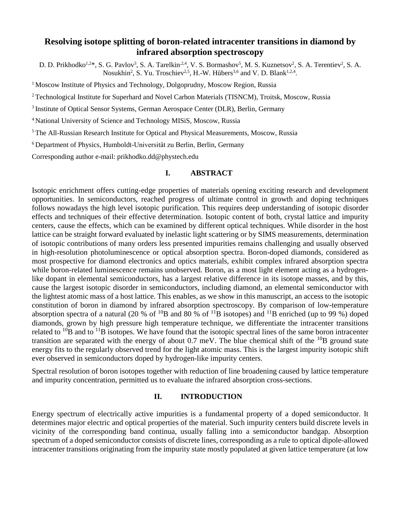# **Resolving isotope splitting of boron-related intracenter transitions in diamond by infrared absorption spectroscopy**

D. D. Prikhodko<sup>1,2\*</sup>, S. G. Pavlov<sup>3</sup>, S. A. Tarelkin<sup>,2,4</sup>, V. S. Bormashov<sup>5</sup>, M. S. Kuznetsov<sup>2</sup>, S. A. Terentiev<sup>2</sup>, S. A. Nosukhin<sup>2</sup>, S. Yu. Troschiev<sup>2,5</sup>, H.-W. Hübers<sup>3,6</sup> and V. D. Blank<sup>1,2,4</sup>.

<sup>1</sup> Moscow Institute of Physics and Technology, Dolgoprudny, Moscow Region, Russia

<sup>2</sup> Technological Institute for Superhard and Novel Carbon Materials (TISNCM), Troitsk, Moscow, Russia

<sup>3</sup> Institute of Optical Sensor Systems, German Aerospace Center (DLR), Berlin, Germany

<sup>4</sup>National University of Science and Technology MISiS, Moscow, Russia

<sup>5</sup> The All-Russian Research Institute for Optical and Physical Measurements, Moscow, Russia

<sup>6</sup> Department of Physics, Humboldt-Universität zu Berlin, Berlin, Germany

Corresponding author e-mail: prikhodko.dd@phystech.edu

## **I. ABSTRACT**

Isotopic enrichment offers cutting-edge properties of materials opening exciting research and development opportunities. In semiconductors, reached progress of ultimate control in growth and doping techniques follows nowadays the high level isotopic purification. This requires deep understanding of isotopic disorder effects and techniques of their effective determination. Isotopic content of both, crystal lattice and impurity centers, cause the effects, which can be examined by different optical techniques. While disorder in the host lattice can be straight forward evaluated by inelastic light scattering or by SIMS measurements, determination of isotopic contributions of many orders less presented impurities remains challenging and usually observed in high-resolution photoluminescence or optical absorption spectra. Boron-doped diamonds, considered as most prospective for diamond electronics and optics materials, exhibit complex infrared absorption spectra while boron-related luminescence remains unobserved. Boron, as a most light element acting as a hydrogenlike dopant in elemental semiconductors, has a largest relative difference in its isotope masses, and by this, cause the largest isotopic disorder in semiconductors, including diamond, an elemental semiconductor with the lightest atomic mass of a host lattice. This enables, as we show in this manuscript, an access to the isotopic constitution of boron in diamond by infrared absorption spectroscopy. By comparison of low-temperature absorption spectra of a natural (20 % of  ${}^{10}B$  and 80 % of  ${}^{11}B$  isotopes) and  ${}^{11}B$  enriched (up to 99 %) doped diamonds, grown by high pressure high temperature technique, we differentiate the intracenter transitions related to  $^{10}B$  and to  $^{11}B$  isotopes. We have found that the isotopic spectral lines of the same boron intracenter transition are separated with the energy of about  $0.7 \text{ meV}$ . The blue chemical shift of the  $^{10}B$  ground state energy fits to the regularly observed trend for the light atomic mass. This is the largest impurity isotopic shift ever observed in semiconductors doped by hydrogen-like impurity centers.

Spectral resolution of boron isotopes together with reduction of line broadening caused by lattice temperature and impurity concentration, permitted us to evaluate the infrared absorption cross-sections.

## **II. INTRODUCTION**

Energy spectrum of electrically active impurities is a fundamental property of a doped semiconductor. It determines major electric and optical properties of the material. Such impurity centers build discrete levels in vicinity of the corresponding band continua, usually falling into a semiconductor bandgap. Absorption spectrum of a doped semiconductor consists of discrete lines, corresponding as a rule to optical dipole-allowed intracenter transitions originating from the impurity state mostly populated at given lattice temperature (at low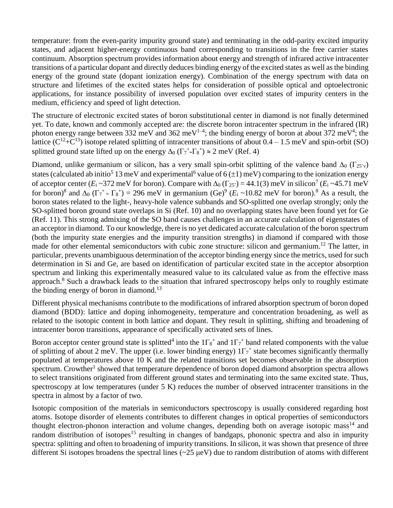temperature: from the even-parity impurity ground state) and terminating in the odd-parity excited impurity states, and adjacent higher-energy continuous band corresponding to transitions in the free carrier states continuum. Absorption spectrum provides information about energy and strength of infrared active intracenter transitions of a particular dopant and directly deduces binding energy of the excited states as well asthe binding energy of the ground state (dopant ionization energy). Combination of the energy spectrum with data on structure and lifetimes of the excited states helps for consideration of possible optical and optoelectronic applications, for instance possibility of inversed population over excited states of impurity centers in the medium, efficiency and speed of light detection.

The structure of electronic excited states of boron substitutional center in diamond is not finally determined yet. To date, known and commonly accepted are: the discrete boron intracenter spectrum in the infrared (IR) photon energy range between 332 meV and 362 meV<sup>1-4</sup>; the binding energy of boron at about 372 meV<sup>4</sup>; the lattice ( $C^{12} + C^{13}$ ) isotope related splitting of intracenter transitions of about  $0.4 - 1.5$  meV and spin-orbit (SO) splitted ground state lifted up on the energy  $\Delta_0 \left( \Gamma_7 + \Gamma_8^+ \right) \approx 2 \text{ meV (Ref. 4)}$ 

Diamond, unlike germanium or silicon, has a very small spin-orbit splitting of the valence band  $\Delta_0$  ( $\Gamma_{25'v}$ ) states (calculated ab initio<sup>5</sup> 13 meV and experimental<sup>6</sup> value of 6 ( $\pm$ 1) meV) comparing to the ionization energy of acceptor center  $(E_i \sim 372 \text{ meV}$  for boron). Compare with  $\Delta_0(\Gamma_{25'}) = 44.1(3) \text{ meV}$  in silicon<sup>7</sup> ( $E_i \sim 45.71 \text{ meV}$ for boron)<sup>8</sup> and  $\Delta_0$  ( $\Gamma_7$ <sup>+</sup> -  $\Gamma_8$ <sup>+</sup>) = 296 meV in germanium (Ge)<sup>9</sup> ( $E_i \sim 10.82$  meV for boron).<sup>8</sup> As a result, the boron states related to the light-, heavy-hole valence subbands and SO-splitted one overlap strongly; only the SO-splitted boron ground state overlaps in Si (Ref. 10) and no overlapping states have been found yet for Ge (Ref. 11). This strong admixing of the SO band causes challenges in an accurate calculation of eigenstates of an acceptor in diamond. To our knowledge, there is no yet dedicated accurate calculation of the boron spectrum (both the impurity state energies and the impurity transition strengths) in diamond if compared with those made for other elemental semiconductors with cubic zone structure: silicon and germanium.<sup>12</sup> The latter, in particular, prevents unambiguous determination of the acceptor binding energy since the metrics, used for such determination in Si and Ge, are based on identification of particular excited state in the acceptor absorption spectrum and linking this experimentally measured value to its calculated value as from the effective mass approach.<sup>8</sup> Such a drawback leads to the situation that infrared spectroscopy helps only to roughly estimate the binding energy of boron in diamond.<sup>13</sup>

Different physical mechanisms contribute to the modifications of infrared absorption spectrum of boron doped diamond (BDD): lattice and doping inhomogeneity, temperature and concentration broadening, as well as related to the isotopic content in both lattice and dopant. They result in splitting, shifting and broadening of intracenter boron transitions, appearance of specifically activated sets of lines.

Boron acceptor center ground state is splitted<sup>4</sup> into the  $1\Gamma_8$ <sup>+</sup> and  $1\Gamma_7$ <sup>+</sup> band related components with the value of splitting of about 2 meV. The upper (i.e. lower binding energy)  $1\Gamma_7^+$  state becomes significantly thermally populated at temperatures above 10 K and the related transitions set becomes observable in the absorption spectrum. Crowther<sup>1</sup> showed that temperature dependence of boron doped diamond absorption spectra allows to select transitions originated from different ground states and terminating into the same excited state. Thus, spectroscopy at low temperatures (under 5 K) reduces the number of observed intracenter transitions in the spectra in almost by a factor of two.

Isotopic composition of the materials in semiconductors spectroscopy is usually considered regarding host atoms. Isotope disorder of elements contributes to different changes in optical properties of semiconductors thought electron-phonon interaction and volume changes, depending both on average isotopic mass<sup>14</sup> and random distribution of isotopes<sup>15</sup> resulting in changes of bandgaps, phononic spectra and also in impurity spectra: splitting and often to broadening of impurity transitions. In silicon, it was shown that presence of three different Si isotopes broadens the spectral lines (~25 μeV) due to random distribution of atoms with different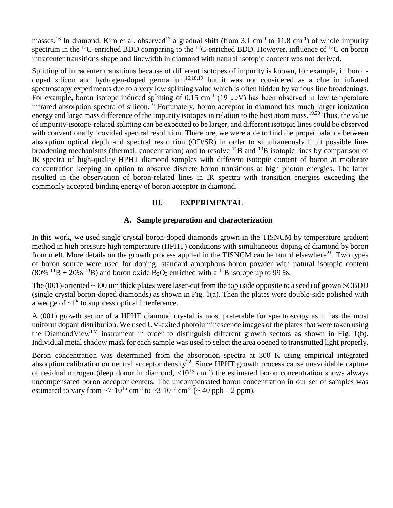masses.<sup>16</sup> In diamond, Kim et al. observed<sup>17</sup> a gradual shift (from 3.1 cm<sup>-1</sup> to 11.8 cm<sup>-1</sup>) of whole impurity spectrum in the <sup>13</sup>C-enriched BDD comparing to the <sup>12</sup>C-enriched BDD. However, influence of <sup>13</sup>C on boron intracenter transitions shape and linewidth in diamond with natural isotopic content was not derived.

Splitting of intracenter transitions because of different isotopes of impurity is known, for example, in borondoped silicon and hydrogen-doped germanium<sup>16,18,19</sup> but it was not considered as a clue in infrared spectroscopy experiments due to a very low splitting value which is often hidden by various line broadenings. For example, boron isotope induced splitting of  $0.15 \text{ cm}^{-1}$  (19  $\mu$ eV) has been observed in low temperature infrared absorption spectra of silicon. <sup>16</sup> Fortunately, boron acceptor in diamond has much larger ionization energy and large mass difference of the impurity isotopes in relation to the host atom mass.<sup>19,20</sup> Thus, the value of impurity-isotope-related splitting can be expected to be larger, and different isotopic lines could be observed with conventionally provided spectral resolution. Therefore, we were able to find the proper balance between absorption optical depth and spectral resolution (OD/SR) in order to simultaneously limit possible linebroadening mechanisms (thermal, concentration) and to resolve <sup>11</sup>B and <sup>10</sup>B isotopic lines by comparison of IR spectra of high-quality HPHT diamond samples with different isotopic content of boron at moderate concentration keeping an option to observe discrete boron transitions at high photon energies. The latter resulted in the observation of boron-related lines in IR spectra with transition energies exceeding the commonly accepted binding energy of boron acceptor in diamond.

## **III. EXPERIMENTAL**

## **A. Sample preparation and characterization**

In this work, we used single crystal boron-doped diamonds grown in the TISNCM by temperature gradient method in high pressure high temperature (HPHT) conditions with simultaneous doping of diamond by boron from melt. More details on the growth process applied in the TISNCM can be found elsewhere<sup>21</sup>. Two types of boron source were used for doping: standard amorphous boron powder with natural isotopic content  $(80\%$  <sup>11</sup>B + 20% <sup>10</sup>B) and boron oxide B<sub>2</sub>O<sub>3</sub> enriched with a <sup>11</sup>B isotope up to 99 %.

The  $(001)$ -oriented  $\sim$ 300  $\mu$ m thick plates were laser-cut from the top (side opposite to a seed) of grown SCBDD (single crystal boron-doped diamonds) as shown in Fig. 1(a). Then the plates were double-side polished with a wedge of ~1° to suppress optical interference.

A (001) growth sector of a HPHT diamond crystal is most preferable for spectroscopy as it has the most uniform dopant distribution. We used UV-exited photoluminescence images of the plates that were taken using the DiamondView<sup>TM</sup> instrument in order to distinguish different growth sectors as shown in Fig. 1(b). Individual metal shadow mask for each sample was used to select the area opened to transmitted light properly.

Boron concentration was determined from the absorption spectra at 300 K using empirical integrated absorption calibration on neutral acceptor density<sup>22</sup>. Since HPHT growth process cause unavoidable capture of residual nitrogen (deep donor in diamond,  $\langle 10^{15} \text{ cm}^{-3} \rangle$ ) the estimated boron concentration shows always uncompensated boron acceptor centers. The uncompensated boron concentration in our set of samples was estimated to vary from  $\sim$ 7·10<sup>15</sup> cm<sup>-3</sup> to  $\sim$ 3·10<sup>17</sup> cm<sup>-3</sup> ( $\sim$  40 ppb – 2 ppm).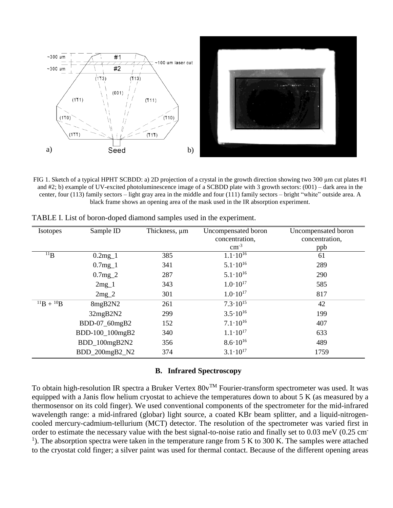

FIG 1. Sketch of a typical HPHT SCBDD: a) 2D projection of a crystal in the growth direction showing two 300 µm cut plates #1 and #2; b) example of UV-excited photoluminescence image of a SCBDD plate with 3 growth sectors: (001) – dark area in the center, four (113) family sectors – light gray area in the middle and four (111) family sectors – bright "white" outside area. A black frame shows an opening area of the mask used in the IR absorption experiment.

| <b>Isotopes</b>   | Sample ID       | Thickness, µm | Uncompensated boron | Uncompensated boron |
|-------------------|-----------------|---------------|---------------------|---------------------|
|                   |                 |               | concentration,      | concentration,      |
|                   |                 |               | $\rm cm^{-3}$       | ppb                 |
| $^{11}B$          | $0.2mg_1$       | 385           | $1.1 \cdot 10^{16}$ | 61                  |
|                   | $0.7mg_1$       | 341           | $5.1 \cdot 10^{16}$ | 289                 |
|                   | $0.7mg_2$       | 287           | $5.1 \cdot 10^{16}$ | 290                 |
|                   | $2mg_1$         | 343           | $1.0 \cdot 10^{17}$ | 585                 |
|                   | $2mg_2$         | 301           | $1.0 \cdot 10^{17}$ | 817                 |
| $^{11}B + ^{10}B$ | 8mgB2N2         | 261           | $7.3 \cdot 10^{15}$ | 42                  |
|                   | 32mgB2N2        | 299           | $3.5 \cdot 10^{16}$ | 199                 |
|                   | BDD-07_60mgB2   | 152           | $7.1 \cdot 10^{16}$ | 407                 |
|                   | BDD-100_100mgB2 | 340           | $1.1 \cdot 10^{17}$ | 633                 |
|                   | BDD_100mgB2N2   | 356           | $8.6 \cdot 10^{16}$ | 489                 |
|                   | BDD_200mgB2_N2  | 374           | $3.1 \cdot 10^{17}$ | 1759                |

TABLE I. List of boron-doped diamond samples used in the experiment.

## **B. Infrared Spectroscopy**

To obtain high-resolution IR spectra a Bruker Vertex  $80v^{TM}$  Fourier-transform spectrometer was used. It was equipped with a Janis flow helium cryostat to achieve the temperatures down to about 5 K (as measured by a thermosensor on its cold finger). We used conventional components of the spectrometer for the mid-infrared wavelength range: a mid-infrared (globar) light source, a coated KBr beam splitter, and a liquid-nitrogencooled mercury-cadmium-tellurium (MCT) detector. The resolution of the spectrometer was varied first in order to estimate the necessary value with the best signal-to-noise ratio and finally set to 0.03 meV (0.25 cm-<sup>1</sup>). The absorption spectra were taken in the temperature range from 5 K to 300 K. The samples were attached to the cryostat cold finger; a silver paint was used for thermal contact. Because of the different opening areas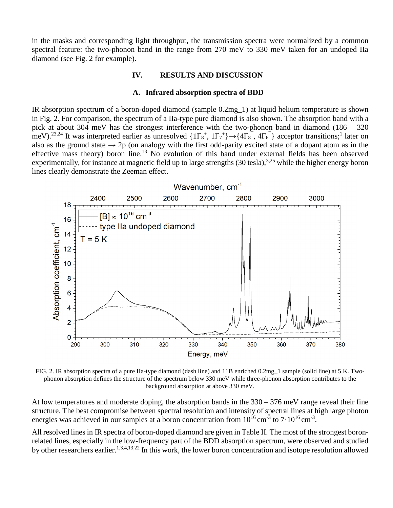in the masks and corresponding light throughput, the transmission spectra were normalized by a common spectral feature: the two-phonon band in the range from 270 meV to 330 meV taken for an undoped IIa diamond (see Fig. 2 for example).

## **IV. RESULTS AND DISCUSSION**

#### **A. Infrared absorption spectra of BDD**

IR absorption spectrum of a boron-doped diamond (sample 0.2mg\_1) at liquid helium temperature is shown in Fig. 2. For comparison, the spectrum of a IIa-type pure diamond is also shown. The absorption band with a pick at about 304 meV has the strongest interference with the two-phonon band in diamond (186 – 320 meV).<sup>23,24</sup> It was interpreted earlier as unresolved  $\{1\Gamma_8^+, 1\Gamma_7^+\} \rightarrow \{4\Gamma_8^-, 4\Gamma_6^-\}$  acceptor transitions;<sup>1</sup> later on also as the ground state  $\rightarrow$  2p (on analogy with the first odd-parity excited state of a dopant atom as in the effective mass theory) boron line.<sup>13</sup> No evolution of this band under external fields has been observed experimentally, for instance at magnetic field up to large strengths (30 tesla),<sup>3,25</sup> while the higher energy boron lines clearly demonstrate the Zeeman effect.



FIG. 2. IR absorption spectra of a pure IIa-type diamond (dash line) and 11B enriched 0.2mg\_1 sample (solid line) at 5 K. Twophonon absorption defines the structure of the spectrum below 330 meV while three-phonon absorption contributes to the background absorption at above 330 meV.

At low temperatures and moderate doping, the absorption bands in the 330 – 376 meV range reveal their fine structure. The best compromise between spectral resolution and intensity of spectral lines at high large photon energies was achieved in our samples at a boron concentration from  $10^{16}$  cm<sup>-3</sup> to  $7 \cdot 10^{16}$  cm<sup>-3</sup>.

All resolved lines in IR spectra of boron-doped diamond are given in Table II. The most of the strongest boronrelated lines, especially in the low-frequency part of the BDD absorption spectrum, were observed and studied by other researchers earlier.<sup>1,3,4,13,22</sup> In this work, the lower boron concentration and isotope resolution allowed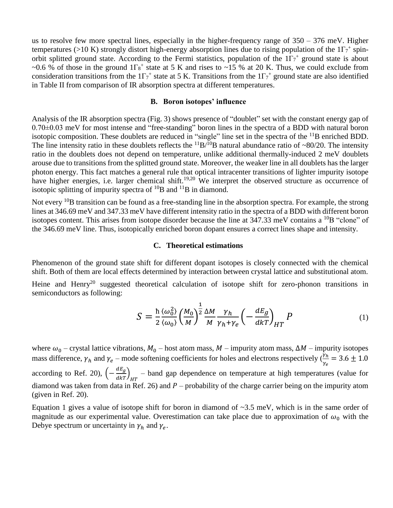us to resolve few more spectral lines, especially in the higher-frequency range of 350 – 376 meV. Higher temperatures (>10 K) strongly distort high-energy absorption lines due to rising population of the  $1\Gamma_7^+$  spinorbit splitted ground state. According to the Fermi statistics, population of the  $1\Gamma_7^+$  ground state is about ~0.6 % of those in the ground  $1\Gamma_8$ <sup>+</sup> state at 5 K and rises to ~15 % at 20 K. Thus, we could exclude from consideration transitions from the  $1\Gamma_7^+$  state at 5 K. Transitions from the  $1\Gamma_7^+$  ground state are also identified in Table II from comparison of IR absorption spectra at different temperatures.

#### **B. Boron isotopes' influence**

Analysis of the IR absorption spectra (Fig. 3) shows presence of "doublet" set with the constant energy gap of 0.70±0.03 meV for most intense and "free-standing" boron lines in the spectra of a BDD with natural boron isotopic composition. These doublets are reduced in "single" line set in the spectra of the  $^{11}B$  enriched BDD. The line intensity ratio in these doublets reflects the  ${}^{11}B/{}^{10}B$  natural abundance ratio of ~80/20. The intensity ratio in the doublets does not depend on temperature, unlike additional thermally-induced 2 meV doublets arouse due to transitions from the splitted ground state. Moreover, the weaker line in all doublets has the larger photon energy. This fact matches a general rule that optical intracenter transitions of lighter impurity isotope have higher energies, i.e. larger chemical shift.<sup>19,20</sup> We interpret the observed structure as occurrence of isotopic splitting of impurity spectra of  $^{10}B$  and  $^{11}B$  in diamond.

Not every <sup>10</sup>B transition can be found as a free-standing line in the absorption spectra. For example, the strong lines at 346.69 meV and 347.33 meV have different intensity ratio in the spectra of a BDD with different boron isotopes content. This arises from isotope disorder because the line at  $347.33$  meV contains a  $^{10}B$  "clone" of the 346.69 meV line. Thus, isotopically enriched boron dopant ensures a correct lines shape and intensity.

#### **C. Theoretical estimations**

Phenomenon of the ground state shift for different dopant isotopes is closely connected with the chemical shift. Both of them are local effects determined by interaction between crystal lattice and substitutional atom.

Heine and Henry<sup>20</sup> suggested theoretical calculation of isotope shift for zero-phonon transitions in semiconductors as following:

$$
S = \frac{\hbar}{2} \frac{\langle \omega_0^2 \rangle}{\langle \omega_0 \rangle} \left( \frac{M_0}{M} \right)^{\frac{1}{2}} \frac{\Delta M}{M} \frac{\gamma_h}{\gamma_h + \gamma_e} \left( -\frac{dE_g}{d k T} \right)_{HT} P \tag{1}
$$

where  $\omega_0$  – crystal lattice vibrations,  $M_0$  – host atom mass,  $M$  – impurity atom mass,  $\Delta M$  – impurity isotopes mass difference,  $\gamma_h$  and  $\gamma_e$  – mode softening coefficients for holes and electrons respectively  $(\frac{\gamma_h}{\gamma_h})$  $\frac{r_h}{r_e}$  = 3.6  $\pm$  1.0 according to Ref. 20),  $\left(-\frac{dE_g}{dkT}\right)_{HT}$  – band gap dependence on temperature at high temperatures (value for diamond was taken from data in Ref. 26) and  $P$  – probability of the charge carrier being on the impurity atom (given in Ref. 20).

Equation 1 gives a value of isotope shift for boron in diamond of  $\sim$ 3.5 meV, which is in the same order of magnitude as our experimental value. Overestimation can take place due to approximation of  $\omega_0$  with the Debye spectrum or uncertainty in  $\gamma_h$  and  $\gamma_e$ .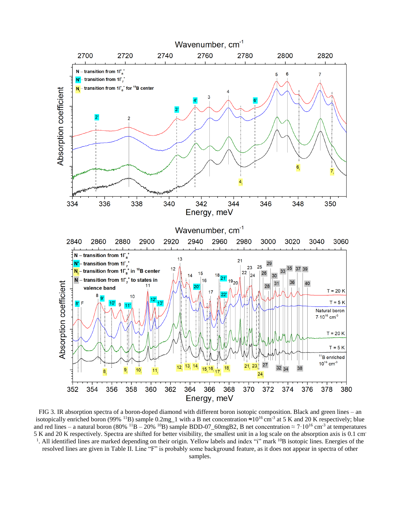

FIG 3. IR absorption spectra of a boron-doped diamond with different boron isotopic composition. Black and green lines – an isotopically enriched boron (99% <sup>11</sup>B) sample 0.2mg<sub>-1</sub> with a B net concentration ≈10<sup>16</sup>cm<sup>-3</sup> at 5 K and 20 K respectively; blue and red lines – a natural boron (80% <sup>11</sup>B – 20% <sup>10</sup>B) sample BDD-07\_60mgB2, B net concentration  $\approx 7 \cdot 10^{16}$  cm<sup>-3</sup> at temperatures 5 K and 20 K respectively. Spectra are shifted for better visibility, the smallest unit in a log scale on the absorption axis is 0.1 cm-<sup>1</sup>. All identified lines are marked depending on their origin. Yellow labels and index "i" mark <sup>10</sup>B isotopic lines. Energies of the resolved lines are given in Table II. Line "F" is probably some background feature, as it does not appear in spectra of other samples.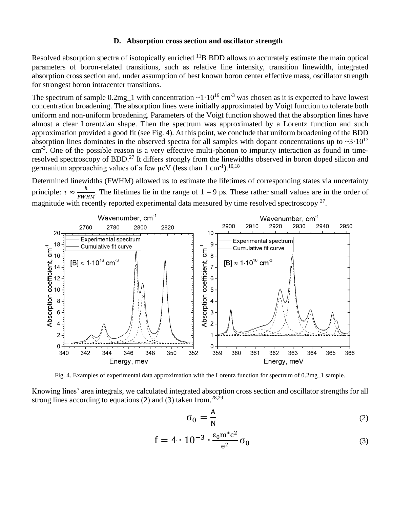#### **D. Absorption cross section and oscillator strength**

Resolved absorption spectra of isotopically enriched <sup>11</sup>B BDD allows to accurately estimate the main optical parameters of boron-related transitions, such as relative line intensity, transition linewidth, integrated absorption cross section and, under assumption of best known boron center effective mass, oscillator strength for strongest boron intracenter transitions.

The spectrum of sample  $0.2mg_{1}$  with concentration  $\sim 1 \cdot 10^{16}$  cm<sup>-3</sup> was chosen as it is expected to have lowest concentration broadening. The absorption lines were initially approximated by Voigt function to tolerate both uniform and non-uniform broadening. Parameters of the Voigt function showed that the absorption lines have almost a clear Lorentzian shape. Then the spectrum was approximated by a Lorentz function and such approximation provided a good fit (see Fig. 4). At this point, we conclude that uniform broadening of the BDD absorption lines dominates in the observed spectra for all samples with dopant concentrations up to  $\sim$ 3·10<sup>17</sup> cm<sup>-3</sup>. One of the possible reason is a very effective multi-phonon to impurity interaction as found in timeresolved spectroscopy of BDD.<sup>27</sup> It differs strongly from the linewidths observed in boron doped silicon and germanium approaching values of a few  $\mu$ eV (less than 1 cm<sup>-1</sup>).<sup>16,18</sup>

Determined linewidths (FWHM) allowed us to estimate the lifetimes of corresponding states via uncertainty principle:  $\tau \approx \frac{\hbar}{\tau W}$  $\frac{n}{FWHM}$ . The lifetimes lie in the range of 1 – 9 ps. These rather small values are in the order of magnitude with recently reported experimental data measured by time resolved spectroscopy<sup>27</sup>.



Fig. 4. Examples of experimental data approximation with the Lorentz function for spectrum of 0.2mg\_1 sample.

Knowing lines' area integrals, we calculated integrated absorption cross section and oscillator strengths for all strong lines according to equations  $(2)$  and  $(3)$  taken from.<sup>28,29</sup>

$$
\sigma_0 = \frac{A}{N} \tag{2}
$$

$$
f = 4 \cdot 10^{-3} \cdot \frac{\varepsilon_0 m^* c^2}{e^2} \sigma_0 \tag{3}
$$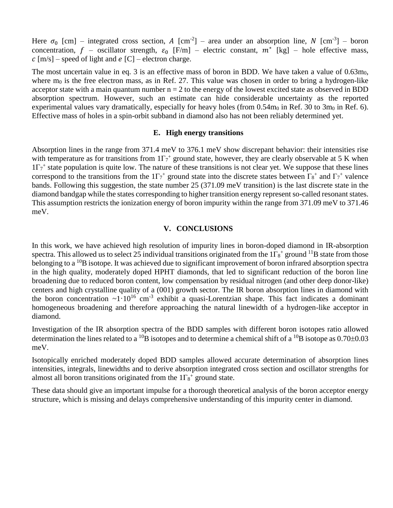Here  $\sigma_0$  [cm] – integrated cross section, A [cm<sup>-2</sup>] – area under an absorption line, N [cm<sup>-3</sup>] – boron concentration,  $f$  – oscillator strength,  $\varepsilon_0$  [F/m] – electric constant,  $m^*$  [kg] – hole effective mass,  $c$  [m/s] – speed of light and  $e$  [C] – electron charge.

The most uncertain value in eq. 3 is an effective mass of boron in BDD. We have taken a value of  $0.63m_0$ , where  $m_0$  is the free electron mass, as in Ref. 27. This value was chosen in order to bring a hydrogen-like acceptor state with a main quantum number  $n = 2$  to the energy of the lowest excited state as observed in BDD absorption spectrum. However, such an estimate can hide considerable uncertainty as the reported experimental values vary dramatically, especially for heavy holes (from  $0.54m_0$  in Ref. 30 to 3m<sub>0</sub> in Ref. 6). Effective mass of holes in a spin-orbit subband in diamond also has not been reliably determined yet.

#### **E. High energy transitions**

Absorption lines in the range from 371.4 meV to 376.1 meV show discrepant behavior: their intensities rise with temperature as for transitions from  $1\Gamma_7$ <sup>+</sup> ground state, however, they are clearly observable at 5 K when  $1\Gamma_7$ <sup>+</sup> state population is quite low. The nature of these transitions is not clear yet. We suppose that these lines correspond to the transitions from the  $1\Gamma_7$ <sup>+</sup> ground state into the discrete states between  $\Gamma_8$ <sup>+</sup> and  $\Gamma_7$ <sup>+</sup> valence bands. Following this suggestion, the state number 25 (371.09 meV transition) is the last discrete state in the diamond bandgap while the states corresponding to higher transition energy represent so-called resonant states. This assumption restricts the ionization energy of boron impurity within the range from 371.09 meV to 371.46 meV.

### **V. CONCLUSIONS**

In this work, we have achieved high resolution of impurity lines in boron-doped diamond in IR-absorption spectra. This allowed us to select 25 individual transitions originated from the  $1\Gamma_8$ <sup>+</sup> ground <sup>11</sup>B state from those belonging to a <sup>10</sup>B isotope. It was achieved due to significant improvement of boron infrared absorption spectra in the high quality, moderately doped HPHT diamonds, that led to significant reduction of the boron line broadening due to reduced boron content, low compensation by residual nitrogen (and other deep donor-like) centers and high crystalline quality of a (001) growth sector. The IR boron absorption lines in diamond with the boron concentration  $\sim 1 \cdot 10^{16}$  cm<sup>-3</sup> exhibit a quasi-Lorentzian shape. This fact indicates a dominant homogeneous broadening and therefore approaching the natural linewidth of a hydrogen-like acceptor in diamond.

Investigation of the IR absorption spectra of the BDD samples with different boron isotopes ratio allowed determination the lines related to a <sup>10</sup>B isotopes and to determine a chemical shift of a <sup>10</sup>B isotope as 0.70 $\pm$ 0.03 meV.

Isotopically enriched moderately doped BDD samples allowed accurate determination of absorption lines intensities, integrals, linewidths and to derive absorption integrated cross section and oscillator strengths for almost all boron transitions originated from the  $1\Gamma_8$ <sup>+</sup> ground state.

These data should give an important impulse for a thorough theoretical analysis of the boron acceptor energy structure, which is missing and delays comprehensive understanding of this impurity center in diamond.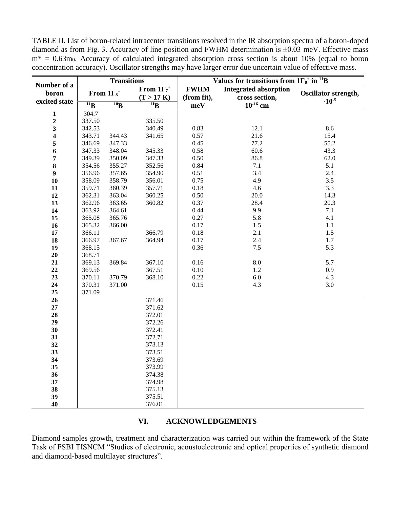TABLE II. List of boron-related intracenter transitions resolved in the IR absorption spectra of a boron-doped diamond as from Fig. 3. Accuracy of line position and FWHM determination is  $\pm 0.03$  meV. Effective mass  $m^* = 0.63m_0$ . Accuracy of calculated integrated absorption cross section is about 10% (equal to boron concentration accuracy). Oscillator strengths may have larger error due uncertain value of effective mass.

|                         | <b>Transitions</b> |                               | Values for transitions from $1\Gamma_8$ <sup>+</sup> in <sup>11</sup> B |                            |                                                |                      |
|-------------------------|--------------------|-------------------------------|-------------------------------------------------------------------------|----------------------------|------------------------------------------------|----------------------|
| Number of a<br>boron    |                    | From $1\Gamma_8$ <sup>+</sup> | From $1\Gamma_7$ <sup>+</sup><br>(T > 17 K)                             | <b>FWHM</b><br>(from fit), | <b>Integrated absorption</b><br>cross section, | Oscillator strength, |
| excited state           | $11\text{B}$       | 10 <sub>B</sub>               | $\overline{^{11}B}$                                                     | meV                        | $10^{-16}$ cm                                  | $\cdot 10^{-5}$      |
| $\mathbf{1}$            | 304.7              |                               |                                                                         |                            |                                                |                      |
| $\boldsymbol{2}$        | 337.50             |                               | 335.50                                                                  |                            |                                                |                      |
| $\overline{\mathbf{3}}$ | 342.53             |                               | 340.49                                                                  | 0.83                       | 12.1                                           | 8.6                  |
| $\overline{\mathbf{4}}$ | 343.71             | 344.43                        | 341.65                                                                  | 0.57                       | 21.6                                           | 15.4                 |
| 5                       | 346.69             | 347.33                        |                                                                         | 0.45                       | 77.2                                           | 55.2                 |
| 6                       | 347.33             | 348.04                        | 345.33                                                                  | 0.58                       | 60.6                                           | 43.3                 |
| 7                       | 349.39             | 350.09                        | 347.33                                                                  | 0.50                       | 86.8                                           | 62.0                 |
| 8                       | 354.56             | 355.27                        | 352.56                                                                  | 0.84                       | 7.1                                            | 5.1                  |
| $\boldsymbol{9}$        | 356.96             | 357.65                        | 354.90                                                                  | 0.51                       | 3.4                                            | 2.4                  |
| 10                      | 358.09             | 358.79                        | 356.01                                                                  | 0.75                       | 4.9                                            | 3.5                  |
| 11                      | 359.71             | 360.39                        | 357.71                                                                  | 0.18                       | 4.6                                            | 3.3                  |
| 12                      | 362.31             | 363.04                        | 360.25                                                                  | 0.50                       | 20.0                                           | 14.3                 |
| 13                      | 362.96             | 363.65                        | 360.82                                                                  | 0.37                       | 28.4                                           | 20.3                 |
| 14                      | 363.92             | 364.61                        |                                                                         | 0.44                       | 9.9                                            | 7.1                  |
| 15                      | 365.08             | 365.76                        |                                                                         | 0.27                       | 5.8                                            | 4.1                  |
| 16                      | 365.32             | 366.00                        |                                                                         | 0.17                       | 1.5                                            | $1.1\,$              |
| 17                      | 366.11             |                               | 366.79                                                                  | 0.18                       | 2.1                                            | 1.5                  |
| 18                      | 366.97             | 367.67                        | 364.94                                                                  | $0.17\,$                   | 2.4                                            | $1.7\,$              |
| 19                      | 368.15             |                               |                                                                         | 0.36                       | $7.5$                                          | 5.3                  |
| 20                      | 368.71             |                               |                                                                         |                            |                                                |                      |
| 21                      | 369.13             | 369.84                        | 367.10                                                                  | 0.16                       | 8.0                                            | 5.7                  |
| 22                      | 369.56             |                               | 367.51                                                                  | 0.10                       | 1.2                                            | 0.9                  |
| 23                      | 370.11             | 370.79                        | 368.10                                                                  | 0.22                       | 6.0                                            | 4.3                  |
| 24                      | 370.31             | 371.00                        |                                                                         | 0.15                       | 4.3                                            | 3.0                  |
| 25                      | 371.09             |                               |                                                                         |                            |                                                |                      |
| $\overline{26}$         |                    |                               | 371.46                                                                  |                            |                                                |                      |
| $27\,$                  |                    |                               | 371.62                                                                  |                            |                                                |                      |
| 28                      |                    |                               | 372.01                                                                  |                            |                                                |                      |
| 29                      |                    |                               | 372.26                                                                  |                            |                                                |                      |
| 30                      |                    |                               | 372.41                                                                  |                            |                                                |                      |
| 31                      |                    |                               | 372.71                                                                  |                            |                                                |                      |
| 32                      |                    |                               | 373.13                                                                  |                            |                                                |                      |
| 33                      |                    |                               | 373.51                                                                  |                            |                                                |                      |
| 34                      |                    |                               | 373.69                                                                  |                            |                                                |                      |
| 35                      |                    |                               | 373.99                                                                  |                            |                                                |                      |
| 36                      |                    |                               | 374.38                                                                  |                            |                                                |                      |
| 37                      |                    |                               | 374.98                                                                  |                            |                                                |                      |
| 38                      |                    |                               | 375.13                                                                  |                            |                                                |                      |
| 39                      |                    |                               | 375.51                                                                  |                            |                                                |                      |
| 40                      |                    |                               | 376.01                                                                  |                            |                                                |                      |

# **VI. ACKNOWLEDGEMENTS**

Diamond samples growth, treatment and characterization was carried out within the framework of the State Task of FSBI TISNCM "Studies of electronic, acoustoelectronic and optical properties of synthetic diamond and diamond-based multilayer structures".